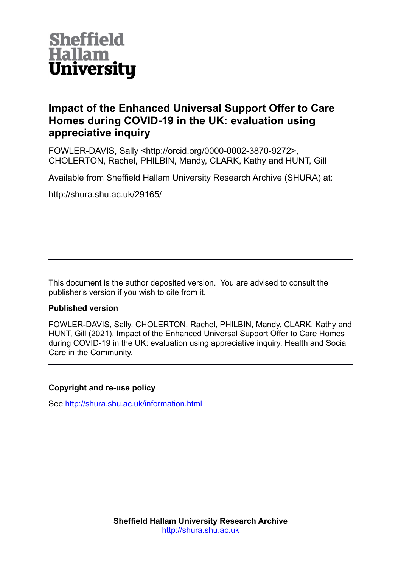

# **Impact of the Enhanced Universal Support Offer to Care Homes during COVID-19 in the UK: evaluation using appreciative inquiry**

FOWLER-DAVIS, Sally <http://orcid.org/0000-0002-3870-9272>, CHOLERTON, Rachel, PHILBIN, Mandy, CLARK, Kathy and HUNT, Gill

Available from Sheffield Hallam University Research Archive (SHURA) at:

http://shura.shu.ac.uk/29165/

This document is the author deposited version. You are advised to consult the publisher's version if you wish to cite from it.

# **Published version**

FOWLER-DAVIS, Sally, CHOLERTON, Rachel, PHILBIN, Mandy, CLARK, Kathy and HUNT, Gill (2021). Impact of the Enhanced Universal Support Offer to Care Homes during COVID-19 in the UK: evaluation using appreciative inquiry. Health and Social Care in the Community.

# **Copyright and re-use policy**

See<http://shura.shu.ac.uk/information.html>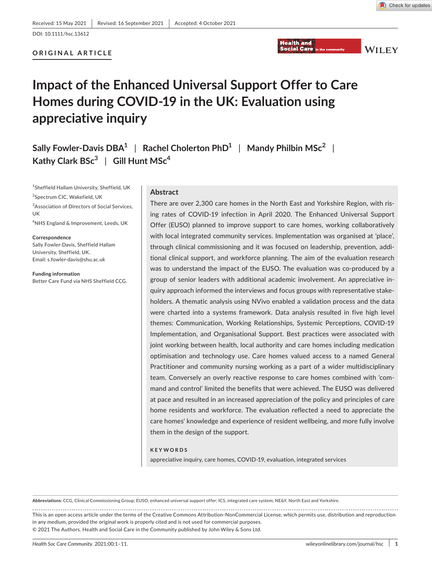# **ORIGINAL ARTICLE**



**WILEY** 

# **Impact of the Enhanced Universal Support Offer to Care Homes during COVID-19 in the UK: Evaluation using appreciative inquiry**

**Sally Fowler-Davis DBA1** | **Rachel Cholerton PhD1** | **Mandy Philbin MSc<sup>2</sup>** | **Kathy Clark BSc<sup>3</sup>** | **Gill Hunt MSc<sup>4</sup>**

1 Sheffield Hallam University, Sheffield, UK

<sup>2</sup>Spectrum CIC, Wakefield, UK

<sup>3</sup>Association of Directors of Social Services, UK

4 NHS England & Improvement, Leeds, UK

**Correspondence** Sally Fowler-Davis, Sheffield Hallam University, Sheffield, UK. Email: [s.fowler-davis@shu.ac.uk](mailto:s.fowler-davis@shu.ac.uk)

**Funding information** Better Care Fund via NHS Sheffield CCG.

#### **Abstract**

There are over 2,300 care homes in the North East and Yorkshire Region, with rising rates of COVID-19 infection in April 2020. The Enhanced Universal Support Offer (EUSO) planned to improve support to care homes, working collaboratively with local integrated community services. Implementation was organised at 'place', through clinical commissioning and it was focused on leadership, prevention, additional clinical support, and workforce planning. The aim of the evaluation research was to understand the impact of the EUSO. The evaluation was co-produced by a group of senior leaders with additional academic involvement. An appreciative inquiry approach informed the interviews and focus groups with representative stakeholders. A thematic analysis using NVivo enabled a validation process and the data were charted into a systems framework. Data analysis resulted in five high level themes: Communication, Working Relationships, Systemic Perceptions, COVID-19 Implementation, and Organisational Support. Best practices were associated with joint working between health, local authority and care homes including medication optimisation and technology use. Care homes valued access to a named General Practitioner and community nursing working as a part of a wider multidisciplinary team. Conversely an overly reactive response to care homes combined with 'command and control' limited the benefits that were achieved. The EUSO was delivered at pace and resulted in an increased appreciation of the policy and principles of care home residents and workforce. The evaluation reflected a need to appreciate the care homes' knowledge and experience of resident wellbeing, and more fully involve them in the design of the support.

#### **KEYWORDS**

appreciative inquiry, care homes, COVID-19, evaluation, integrated services

**Abbreviations:** CCG, Clinical Commissioning Group; EUSO, enhanced universal support offer; ICS, integrated care system; NE&Y, North East and Yorkshire.

This is an open access article under the terms of the [Creative Commons Attribution-NonCommercial](http://creativecommons.org/licenses/by-nc/4.0/) License, which permits use, distribution and reproduction in any medium, provided the original work is properly cited and is not used for commercial purposes. © 2021 The Authors. Health and Social Care in the Community published by John Wiley & Sons Ltd.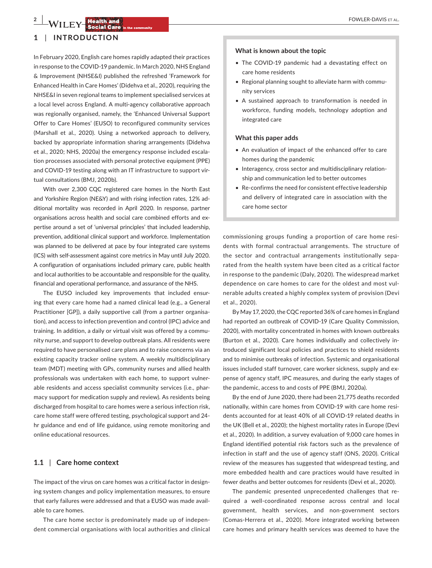# **1** | **INTRODUCTION**

In February 2020, English care homes rapidly adapted their practices in response to the COVID-19 pandemic. In March 2020, NHS England & Improvement (NHSE&I) published the refreshed 'Framework for Enhanced Health in Care Homes' (Didehva et al., 2020), requiring the NHSE&I in seven regional teams to implement specialised services at a local level across England. A multi-agency collaborative approach was regionally organised, namely, the 'Enhanced Universal Support Offer to Care Homes' (EUSO) to reconfigured community services (Marshall et al., 2020). Using a networked approach to delivery, backed by appropriate information sharing arrangements (Didehva et al., 2020; NHS, 2020a) the emergency response included escalation processes associated with personal protective equipment (PPE) and COVID-19 testing along with an IT infrastructure to support virtual consultations (BMJ, 2020b).

With over 2,300 CQC registered care homes in the North East and Yorkshire Region (NE&Y) and with rising infection rates, 12% additional mortality was recorded in April 2020. In response, partner organisations across health and social care combined efforts and expertise around a set of 'universal principles' that included leadership, prevention, additional clinical support and workforce. Implementation was planned to be delivered at pace by four integrated care systems (ICS) with self-assessment against core metrics in May until July 2020. A configuration of organisations included primary care, public health and local authorities to be accountable and responsible for the quality, financial and operational performance, and assurance of the NHS.

The EUSO included key improvements that included ensuring that every care home had a named clinical lead (e.g., a General Practitioner [GP]), a daily supportive call (from a partner organisation), and access to infection prevention and control (IPC) advice and training. In addition, a daily or virtual visit was offered by a community nurse, and support to develop outbreak plans. All residents were required to have personalised care plans and to raise concerns via an existing capacity tracker online system. A weekly multidisciplinary team (MDT) meeting with GPs, community nurses and allied health professionals was undertaken with each home, to support vulnerable residents and access specialist community services (i.e., pharmacy support for medication supply and review). As residents being discharged from hospital to care homes were a serious infection risk, care home staff were offered testing, psychological support and 24 hr guidance and end of life guidance, using remote monitoring and online educational resources.

#### **1.1** | **Care home context**

The impact of the virus on care homes was a critical factor in designing system changes and policy implementation measures, to ensure that early failures were addressed and that a EUSO was made available to care homes.

The care home sector is predominately made up of independent commercial organisations with local authorities and clinical

#### **What is known about the topic**

- The COVID-19 pandemic had a devastating effect on care home residents
- Regional planning sought to alleviate harm with community services
- A sustained approach to transformation is needed in workforce, funding models, technology adoption and integrated care

#### **What this paper adds**

- An evaluation of impact of the enhanced offer to care homes during the pandemic
- Interagency, cross sector and multidisciplinary relationship and communication led to better outcomes
- Re-confirms the need for consistent effective leadership and delivery of integrated care in association with the care home sector

commissioning groups funding a proportion of care home residents with formal contractual arrangements. The structure of the sector and contractual arrangements institutionally separated from the health system have been cited as a critical factor in response to the pandemic (Daly, 2020). The widespread market dependence on care homes to care for the oldest and most vulnerable adults created a highly complex system of provision (Devi et al., 2020).

By May 17, 2020, the CQC reported 36% of care homes in England had reported an outbreak of COVID-19 (Care Quality Commission, 2020), with mortality concentrated in homes with known outbreaks (Burton et al., 2020). Care homes individually and collectively introduced significant local policies and practices to shield residents and to minimise outbreaks of infection. Systemic and organisational issues included staff turnover, care worker sickness, supply and expense of agency staff, IPC measures, and during the early stages of the pandemic, access to and costs of PPE (BMJ, 2020a).

By the end of June 2020, there had been 21,775 deaths recorded nationally, within care homes from COVID-19 with care home residents accounted for at least 40% of all COVID-19 related deaths in the UK (Bell et al., 2020); the highest mortality rates in Europe (Devi et al., 2020). In addition, a survey evaluation of 9,000 care homes in England identified potential risk factors such as the prevalence of infection in staff and the use of agency staff (ONS, 2020). Critical review of the measures has suggested that widespread testing, and more embedded health and care practices would have resulted in fewer deaths and better outcomes for residents (Devi et al., 2020).

The pandemic presented unprecedented challenges that required a well-coordinated response across central and local government, health services, and non-government sectors (Comas-Herrera et al., 2020). More integrated working between care homes and primary health services was deemed to have the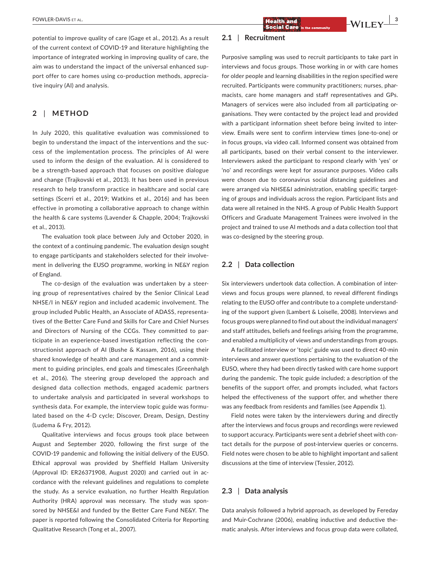potential to improve quality of care (Gage et al., 2012). As a result of the current context of COVID-19 and literature highlighting the importance of integrated working in improving quality of care, the aim was to understand the impact of the universal enhanced support offer to care homes using co-production methods, appreciative inquiry (AI) and analysis.

# **2** | **METHOD**

In July 2020, this qualitative evaluation was commissioned to begin to understand the impact of the interventions and the success of the implementation process. The principles of AI were used to inform the design of the evaluation. AI is considered to be a strength-based approach that focuses on positive dialogue and change (Trajkovski et al., 2013). It has been used in previous research to help transform practice in healthcare and social care settings (Scerri et al., 2019; Watkins et al., 2016) and has been effective in promoting a collaborative approach to change within the health & care systems (Lavender & Chapple, 2004; Trajkovski et al., 2013).

The evaluation took place between July and October 2020, in the context of a continuing pandemic. The evaluation design sought to engage participants and stakeholders selected for their involvement in delivering the EUSO programme, working in NE&Y region of England.

The co-design of the evaluation was undertaken by a steering group of representatives chaired by the Senior Clinical Lead NHSE/I in NE&Y region and included academic involvement. The group included Public Health, an Associate of ADASS, representatives of the Better Care Fund and Skills for Care and Chief Nurses and Directors of Nursing of the CCGs. They committed to participate in an experience-based investigation reflecting the constructionist approach of AI (Bushe & Kassam, 2016), using their shared knowledge of health and care management and a commitment to guiding principles, end goals and timescales (Greenhalgh et al., 2016). The steering group developed the approach and designed data collection methods, engaged academic partners to undertake analysis and participated in several workshops to synthesis data. For example, the interview topic guide was formulated based on the 4-D cycle; Discover, Dream, Design, Destiny (Ludema & Fry, 2012).

Qualitative interviews and focus groups took place between August and September 2020, following the first surge of the COVID-19 pandemic and following the initial delivery of the EUSO. Ethical approval was provided by Sheffield Hallam University (Approval ID: ER26371908, August 2020) and carried out in accordance with the relevant guidelines and regulations to complete the study. As a service evaluation, no further Health Regulation Authority (HRA) approval was necessary. The study was sponsored by NHSE&I and funded by the Better Care Fund NE&Y. The paper is reported following the Consolidated Criteria for Reporting Qualitative Research (Tong et al., 2007).

# **2.1** | **Recruitment**

Purposive sampling was used to recruit participants to take part in interviews and focus groups. Those working in or with care homes for older people and learning disabilities in the region specified were recruited. Participants were community practitioners; nurses, pharmacists, care home managers and staff representatives and GPs. Managers of services were also included from all participating organisations. They were contacted by the project lead and provided with a participant information sheet before being invited to interview. Emails were sent to confirm interview times (one-to-one) or in focus groups, via video call. Informed consent was obtained from all participants, based on their verbal consent to the interviewer. Interviewers asked the participant to respond clearly with 'yes' or 'no' and recordings were kept for assurance purposes. Video calls were chosen due to coronavirus social distancing guidelines and were arranged via NHSE&I administration, enabling specific targeting of groups and individuals across the region. Participant lists and data were all retained in the NHS. A group of Public Health Support Officers and Graduate Management Trainees were involved in the project and trained to use AI methods and a data collection tool that was co-designed by the steering group.

# **2.2** | **Data collection**

Six interviewers undertook data collection. A combination of interviews and focus groups were planned, to reveal different findings relating to the EUSO offer and contribute to a complete understanding of the support given (Lambert & Loiselle, 2008). Interviews and focus groups were planned to find out about the individual managers' and staff attitudes, beliefs and feelings arising from the programme, and enabled a multiplicity of views and understandings from groups.

A facilitated interview or 'topic' guide was used to direct 40-min interviews and answer questions pertaining to the evaluation of the EUSO, where they had been directly tasked with care home support during the pandemic. The topic guide included; a description of the benefits of the support offer, and prompts included, what factors helped the effectiveness of the support offer, and whether there was any feedback from residents and families (see Appendix 1).

Field notes were taken by the interviewers during and directly after the interviews and focus groups and recordings were reviewed to support accuracy. Participants were sent a debrief sheet with contact details for the purpose of post-interview queries or concerns. Field notes were chosen to be able to highlight important and salient discussions at the time of interview (Tessier, 2012).

#### **2.3** | **Data analysis**

Data analysis followed a hybrid approach, as developed by Fereday and Muir-Cochrane (2006), enabling inductive and deductive thematic analysis. After interviews and focus group data were collated,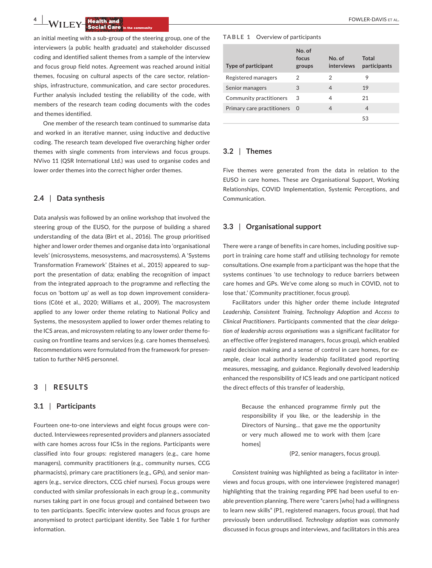an initial meeting with a sub-group of the steering group, one of the interviewers (a public health graduate) and stakeholder discussed coding and identified salient themes from a sample of the interview and focus group field notes. Agreement was reached around initial themes, focusing on cultural aspects of the care sector, relationships, infrastructure, communication, and care sector procedures. Further analysis included testing the reliability of the code, with members of the research team coding documents with the codes and themes identified.

One member of the research team continued to summarise data and worked in an iterative manner, using inductive and deductive coding. The research team developed five overarching higher order themes with single comments from interviews and focus groups. NVivo 11 (QSR International Ltd.) was used to organise codes and lower order themes into the correct higher order themes.

#### **2.4** | **Data synthesis**

Data analysis was followed by an online workshop that involved the steering group of the EUSO, for the purpose of building a shared understanding of the data (Birt et al., 2016). The group prioritised higher and lower order themes and organise data into 'organisational levels' (microsystems, mesosystems, and macrosystems). A 'Systems Transformation Framework' (Staines et al., 2015) appeared to support the presentation of data; enabling the recognition of impact from the integrated approach to the programme and reflecting the focus on 'bottom up' as well as top down improvement considerations (Côté et al., 2020; Williams et al., 2009). The macrosystem applied to any lower order theme relating to National Policy and Systems, the mesosystem applied to lower order themes relating to the ICS areas, and microsystem relating to any lower order theme focusing on frontline teams and services (e.g. care homes themselves). Recommendations were formulated from the framework for presentation to further NHS personnel.

# **3** | **RESULTS**

#### **3.1** | **Participants**

Fourteen one-to-one interviews and eight focus groups were conducted. Interviewees represented providers and planners associated with care homes across four ICSs in the regions. Participants were classified into four groups: registered managers (e.g., care home managers), community practitioners (e.g., community nurses, CCG pharmacists), primary care practitioners (e.g., GPs), and senior managers (e.g., service directors, CCG chief nurses). Focus groups were conducted with similar professionals in each group (e.g., community nurses taking part in one focus group) and contained between two to ten participants. Specific interview quotes and focus groups are anonymised to protect participant identity. See Table 1 for further information.

#### **TABLE 1**  Overview of participants

| Type of participant        | No. of<br>focus | No. of<br><b>interviews</b> | Total<br>participants |
|----------------------------|-----------------|-----------------------------|-----------------------|
|                            | groups          |                             |                       |
| Registered managers        | 2               | 2                           | 9                     |
| Senior managers            | 3               | 4                           | 19                    |
| Community practitioners    | 3               | 4                           | 21                    |
| Primary care practitioners | - 0             | 4                           | 4                     |
|                            |                 |                             | 53                    |

## **3.2** | **Themes**

Five themes were generated from the data in relation to the EUSO in care homes. These are Organisational Support, Working Relationships, COVID Implementation, Systemic Perceptions, and Communication.

# **3.3** | **Organisational support**

There were a range of benefits in care homes, including positive support in training care home staff and utilising technology for remote consultations. One example from a participant was the hope that the systems continues 'to use technology to reduce barriers between care homes and GPs. We've come along so much in COVID, not to lose that.' (Community practitioner, focus group).

Facilitators under this higher order theme include *Integrated Leadership, Consistent Training, Technology Adoption* and *Access to Clinical Practitioners*. Participants commented that the *clear delegation of leadership across organisations* was a significant facilitator for an effective offer (registered managers, focus group), which enabled rapid decision making and a sense of control in care homes, for example, clear local authority leadership facilitated good reporting measures, messaging, and guidance. Regionally devolved leadership enhanced the responsibility of ICS leads and one participant noticed the direct effects of this transfer of leadership,

> Because the enhanced programme firmly put the responsibility if you like, or the leadership in the Directors of Nursing… that gave me the opportunity or very much allowed me to work with them [care homes]

> > (P2, senior managers, focus group).

*Consistent training* was highlighted as being a facilitator in interviews and focus groups, with one interviewee (registered manager) highlighting that the training regarding PPE had been useful to enable prevention planning. There were "carers [who] had a willingness to learn new skills" (P1, registered managers, focus group), that had previously been underutilised. *Technology adoption* was commonly discussed in focus groups and interviews, and facilitators in this area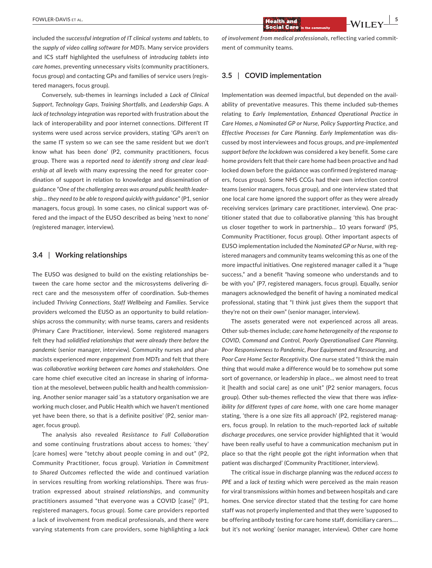included the *successful integration of IT clinical systems and tablets*, to the *supply of video calling software for MDTs*. Many service providers and ICS staff highlighted the usefulness of *introducing tablets into care homes*, preventing unnecessary visits (community practitioners, focus group) and contacting GPs and families of service users (registered managers, focus group).

Conversely, sub-themes in learnings included a *Lack of Clinical Support, Technology Gaps, Training Shortfalls*, and *Leadership Gaps*. A *lack of technology integration* was reported with frustration about the lack of interoperability and poor internet connections. Different IT systems were used across service providers, stating 'GPs aren't on the same IT system so we can see the same resident but we don't know what has been done' (P2, community practitioners, focus group. There was a reported *need to identify strong and clear leadership at all levels* with many expressing the need for greater coordination of support in relation to knowledge and dissemination of guidance "*One of the challenging areas was around public health leadership… they need to be able to respond quickly with guidance*" (P1, senior managers, focus group). In some cases, no clinical support was offered and the impact of the EUSO described as being 'next to none' (registered manager, interview).

## **3.4** | **Working relationships**

The EUSO was designed to build on the existing relationships between the care home sector and the microsystems delivering direct care and the mesosystem offer of coordination. Sub-themes included *Thriving Connections, Staff Wellbeing* and *Families*. Service providers welcomed the EUSO as an opportunity to build relationships across the community; with nurse teams, carers and residents (Primary Care Practitioner, interview). Some registered managers felt they had *solidified relationships that were already there before the pandemic* (senior manager, interview). Community nurses and pharmacists experienced *more engagement from MDTs* and felt that there was *collaborative working between care homes and stakeholders*. One care home chief executive cited an increase in sharing of information at the mesolevel, between public health and health commissioning. Another senior manager said 'as a statutory organisation we are working much closer, and Public Health which we haven't mentioned yet have been there, so that is a definite positive' (P2, senior manager, focus group).

The analysis also revealed *Resistance to Full Collaboration* and some continuing frustrations about access to homes; 'they' [care homes] were "tetchy about people coming in and out" (P2, Community Practitioner, focus group). *Variation in Commitment to Shared Outcomes* reflected the wide and continued variation in services resulting from working relationships. There was frustration expressed about *strained relationships*, and community practitioners assumed "that everyone was a COVID [case]" (P1, registered managers, focus group). Some care providers reported a lack of involvement from medical professionals, and there were varying statements from care providers, some highlighting a *lack* 

*of involvement from medical professionals*, reflecting varied commitment of community teams.

# **3.5** | **COVID implementation**

Implementation was deemed impactful, but depended on the availability of preventative measures. This theme included sub-themes relating to *Early Implementation, Enhanced Operational Practice in Care Homes, a Nominated GP or Nurse, Policy Supporting Practice*, and *Effective Processes for Care Planning*. *Early Implementation* was discussed by most interviewees and focus groups, and *pre-implemented support before the lockdown* was considered a key benefit. Some care home providers felt that their care home had been proactive and had locked down before the guidance was confirmed (registered managers, focus group). Some NHS CCGs had their own infection control teams (senior managers, focus group), and one interview stated that one local care home ignored the support offer as they were already receiving services (primary care practitioner, interview). One practitioner stated that due to collaborative planning 'this has brought us closer together to work in partnership… 10 years forward' (P5, Community Practitioner, focus group). Other important aspects of EUSO implementation included the *Nominated GP or Nurse*, with registered managers and community teams welcoming this as one of the more impactful initiatives. One registered manager called it a "huge success," and a benefit "having someone who understands and to be with you" (P7, registered managers, focus group). Equally, senior managers acknowledged the benefit of having a nominated medical professional, stating that "I think just gives them the support that they're not on their own" (senior manager, interview).

The assets generated were not experienced across all areas. Other sub-themes include; *care home heterogeneity of the response to COVID*, *Command and Control, Poorly Operationalised Care Planning, Poor Responsiveness to Pandemic, Poor Equipment and Resourcing*, and *Poor Care Home Sector Receptivity*. One nurse stated "I think the main thing that would make a difference would be to somehow put some sort of governance, or leadership in place… we almost need to treat it [health and social care] as one unit" (P2 senior managers, focus group). Other sub-themes reflected the view that there was *inflexibility for different types of care home*, with one care home manager stating, 'there is a one size fits all approach' (P2, registered managers, focus group). In relation to the much-reported *lack of suitable discharge procedures*, one service provider highlighted that it 'would have been really useful to have a communication mechanism put in place so that the right people got the right information when that patient was discharged' (Community Practitioner, interview).

The critical issue in discharge planning was the *reduced access to PPE* and a *lack of testing* which were perceived as the main reason for viral transmissions within homes and between hospitals and care homes. One service director stated that the testing for care home staff was not properly implemented and that they were 'supposed to be offering antibody testing for care home staff, domiciliary carers.… but it's not working' (senior manager, interview). Other care home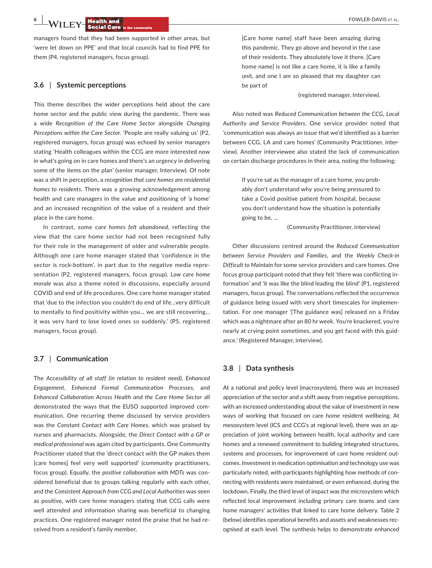managers found that they had been supported in other areas, but 'were let down on PPE' and that local councils had to find PPE for them (P4, registered managers, focus group).

# **3.6** | **Systemic perceptions**

This theme describes the wider perceptions held about the care home sector and the public view during the pandemic. There was a wide *Recognition of the Care Home Sector* alongside *Changing Perceptions within the Care Sector*. 'People are really valuing us' (P2, registered managers, focus group) was echoed by senior managers stating 'Health colleagues within the CCG are more interested now in what's going on in care homes and there's an urgency in delivering some of the items on the plan' (senior manager, Interview). Of note was a shift in perception, a *recognition that care homes are residential homes to residents*. There was a growing acknowledgement among health and care managers in the value and positioning of 'a home' and an increased recognition of the value of a resident and their place in the care home.

In contrast, some c*are homes felt abandoned*, reflecting the view that the care home sector had not been recognised fully for their role in the management of older and vulnerable people. Although one care home manager stated that 'confidence in the sector is rock-bottom', in part due to the negative media representation (P2, registered managers, focus group). *Low care home morale* was also a theme noted in discussions, especially around COVID and end of life procedures. One care home manager stated that 'due to the infection you couldn't do end of life…very difficult to mentally to find positivity within you… we are still recovering… it was very hard to lose loved ones so suddenly.' (P5, registered managers, focus group).

#### **3.7** | **Communication**

The *Accessibility of all staff (in relation to resident need)*, *Enhanced Engagement*, *Enhanced Formal Communication Processes*, and *Enhanced Collaboration Across Health and the Care Home Sector* all demonstrated the ways that the EUSO supported improved communication. One recurring theme discussed by service providers was the *Constant Contact with Care Homes*, which was praised by nurses and pharmacists. Alongside, the *Direct Contact with a GP or medical professional* was again cited by participants. One Community Practitioner stated that the 'direct contact with the GP makes them [care homes] feel very well supported' (community practitioners, focus group). Equally, the *positive collaboration with MDTs* was considered beneficial due to groups talking regularly with each other, and the *Consistent Approach from CCG and Local Authorities* was seen as positive, with care home managers stating that CCG calls were well attended and information sharing was beneficial to changing practices. One registered manager noted the praise that he had received from a resident's family member,

[Care home name] staff have been amazing during this pandemic. They go above and beyond in the case of their residents. They absolutely love it there. [Care home name] is not like a care home, it is like a family unit, and one I am so pleased that my daughter can be part of

#### (registered manager, Interview).

Also noted was *Reduced Communication between the CCG, Local Authority and Service Providers*. One service provider noted that 'communication was always an issue that we'd identified as a barrier between CCG, LA and care homes' (Community Practitioner, interview). Another interviewee also stated the lack of communication on certain discharge procedures in their area, noting the following:

> If you're sat as the manager of a care home, you probably don't understand why you're being pressured to take a Covid positive patient from hospital, because you don't understand how the situation is potentially going to be, …

> > (Community Practitioner, interview)

Other discussions centred around the *Reduced Communication between Service Providers and Families*, and the *Weekly Check-in Difficult to Maintain* for some service providers and care homes. One focus group participant noted that they felt 'there was conflicting information' and 'it was like the blind leading the blind' (P1, registered managers, focus group). The conversations reflected the occurrence of guidance being issued with very short timescales for implementation. For one manager '[The guidance was] released on a Friday which was a nightmare after an 80 hr week. You're knackered, you're nearly at crying point sometimes, and you get faced with this guidance.' (Registered Manager, interview).

#### **3.8** | **Data synthesis**

At a national and policy level (macrosystem), there was an increased appreciation of the sector and a shift away from negative perceptions, with an increased understanding about the value of investment in new ways of working that focused on care home resident wellbeing. At mesosystem level (ICS and CCG's at regional level), there was an appreciation of joint working between health, local authority and care homes and a renewed commitment to building integrated structures, systems and processes, for improvement of care home resident outcomes. Investment in medication optimisation and technology use was particularly noted, with participants highlighting how methods of connecting with residents were maintained, or even enhanced, during the lockdown. Finally, the third level of impact was the microsystem which reflected local improvement including primary care teams and care home managers' activities that linked to care home delivery. Table 2 (below) identifies operational benefits and assets and weaknesses recognised at each level. The synthesis helps to demonstrate enhanced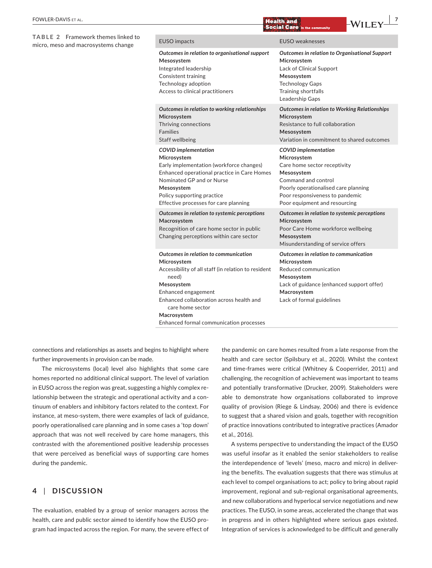#### **TABLE 2** Framework themes linked to micro, meso and macrosystems change

| <b>EUSO</b> impacts                                                                                                                                                                                                                                                                 | <b>EUSO</b> weaknesses                                                                                                                                                                                                      |
|-------------------------------------------------------------------------------------------------------------------------------------------------------------------------------------------------------------------------------------------------------------------------------------|-----------------------------------------------------------------------------------------------------------------------------------------------------------------------------------------------------------------------------|
| Outcomes in relation to organisational support<br>Mesosystem<br>Integrated leadership<br><b>Consistent training</b><br>Technology adoption<br>Access to clinical practitioners                                                                                                      | <b>Outcomes in relation to Organisational Support</b><br>Microsystem<br>Lack of Clinical Support<br>Mesosystem<br><b>Technology Gaps</b><br>Training shortfalls<br>Leadership Gaps                                          |
| Outcomes in relation to working relationships<br>Microsystem<br>Thriving connections<br><b>Families</b><br><b>Staff wellbeing</b>                                                                                                                                                   | <b>Outcomes in relation to Working Relationships</b><br>Microsystem<br>Resistance to full collaboration<br>Mesosystem<br>Variation in commitment to shared outcomes                                                         |
| <b>COVID</b> implementation<br>Microsystem<br>Early implementation (workforce changes)<br>Enhanced operational practice in Care Homes<br>Nominated GP and or Nurse<br>Mesosystem<br>Policy supporting practice<br>Effective processes for care planning                             | <b>COVID</b> implementation<br>Microsystem<br>Care home sector receptivity<br>Mesosystem<br>Command and control<br>Poorly operationalised care planning<br>Poor responsiveness to pandemic<br>Poor equipment and resourcing |
| Outcomes in relation to systemic perceptions<br>Macrosystem<br>Recognition of care home sector in public<br>Changing perceptions within care sector                                                                                                                                 | Outcomes in relation to systemic perceptions<br>Microsystem<br>Poor Care Home workforce wellbeing<br>Mesosystem<br>Misunderstanding of service offers                                                                       |
| Outcomes in relation to communication<br>Microsystem<br>Accessibility of all staff (in relation to resident<br>need)<br>Mesosystem<br>Enhanced engagement<br>Enhanced collaboration across health and<br>care home sector<br>Macrosystem<br>Enhanced formal communication processes | Outcomes in relation to communication<br>Microsystem<br>Reduced communication<br>Mesosystem<br>Lack of guidance (enhanced support offer)<br>Macrosystem<br>Lack of formal guidelines                                        |

connections and relationships as assets and begins to highlight where further improvements in provision can be made.

The microsystems (local) level also highlights that some care homes reported no additional clinical support. The level of variation in EUSO across the region was great, suggesting a highly complex relationship between the strategic and operational activity and a continuum of enablers and inhibitory factors related to the context. For instance, at meso-system, there were examples of lack of guidance, poorly operationalised care planning and in some cases a 'top down' approach that was not well received by care home managers, this contrasted with the aforementioned positive leadership processes that were perceived as beneficial ways of supporting care homes during the pandemic.

# **4** | **DISCUSSION**

The evaluation, enabled by a group of senior managers across the health, care and public sector aimed to identify how the EUSO program had impacted across the region. For many, the severe effect of the pandemic on care homes resulted from a late response from the health and care sector (Spilsbury et al., 2020). Whilst the context and time-frames were critical (Whitney & Cooperrider, 2011) and challenging, the recognition of achievement was important to teams and potentially transformative (Drucker, 2009). Stakeholders were able to demonstrate how organisations collaborated to improve quality of provision (Riege & Lindsay, 2006) and there is evidence to suggest that a shared vision and goals, together with recognition of practice innovations contributed to integrative practices (Amador et al., 2016).

A systems perspective to understanding the impact of the EUSO was useful insofar as it enabled the senior stakeholders to realise the interdependence of 'levels' (meso, macro and micro) in delivering the benefits. The evaluation suggests that there was stimulus at each level to compel organisations to act; policy to bring about rapid improvement, regional and sub-regional organisational agreements, and new collaborations and hyperlocal service negotiations and new practices. The EUSO, in some areas, accelerated the change that was in progress and in others highlighted where serious gaps existed. Integration of services is acknowledged to be difficult and generally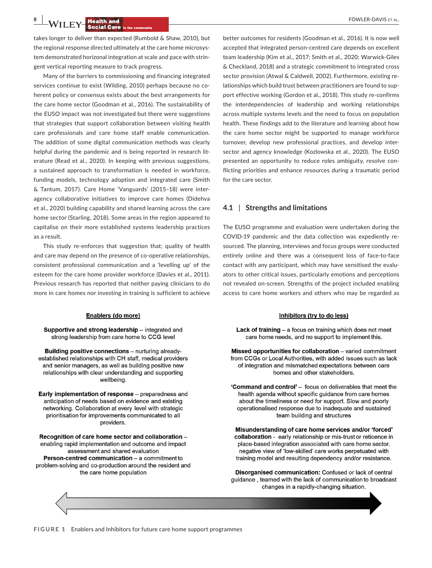**8 |**  FOWLER-DAVIS et al.

takes longer to deliver than expected (Rumbold & Shaw, 2010), but the regional response directed ultimately at the care home microsystem demonstrated horizonal integration at scale and pace with stringent vertical reporting measure to track progress.

Many of the barriers to commissioning and financing integrated services continue to exist (Wilding, 2010) perhaps because no coherent policy or consensus exists about the best arrangements for the care home sector (Goodman et al., 2016). The sustainability of the EUSO impact was not investigated but there were suggestions that strategies that support collaboration between visiting health care professionals and care home staff enable communication. The addition of some digital communication methods was clearly helpful during the pandemic and is being reported in research literature (Read et al., 2020). In keeping with previous suggestions, a sustained approach to transformation is needed in workforce, funding models, technology adoption and integrated care (Smith & Tantum, 2017). Care Home 'Vanguards' (2015–18) were interagency collaborative initiatives to improve care homes (Didehva et al., 2020) building capability and shared learning across the care home sector (Starling, 2018). Some areas in the region appeared to capitalise on their more established systems leadership practices as a result.

This study re-enforces that suggestion that; quality of health and care may depend on the presence of co-operative relationships, consistent professional communication and a 'levelling up' of the esteem for the care home provider workforce (Davies et al., 2011). Previous research has reported that neither paying clinicians to do more in care homes nor investing in training is sufficient to achieve

#### Enablers (do more)

Supportive and strong leadership - integrated and strong leadership from care home to CCG level

Building positive connections - nurturing alreadyestablished relationships with CH staff, medical providers and senior managers, as well as building positive new relationships with clear understanding and supporting wellbeing.

Early implementation of response - preparedness and anticipation of needs based on evidence and existing networking. Collaboration at every level with strategic prioritisation for improvements communicated to all providers.

Recognition of care home sector and collaboration enabling rapid implementation and outcome and impact assessment and shared evaluation Person-centred communication - a commitment to problem-solving and co-production around the resident and the care home population

better outcomes for residents (Goodman et al., 2016). It is now well accepted that integrated person-centred care depends on excellent team leadership (Kim et al., 2017; Smith et al., 2020; Warwick-Giles & Checkland, 2018) and a strategic commitment to integrated cross sector provision (Atwal & Caldwell, 2002). Furthermore, existing relationships which build trust between practitioners are found to support effective working (Gordon et al., 2018). This study re-confirms the interdependencies of leadership and working relationships across multiple systems levels and the need to focus on population health. These findings add to the literature and learning about how the care home sector might be supported to manage workforce turnover, develop new professional practices, and develop intersector and agency knowledge (Kozlowska et al., 2020). The EUSO presented an opportunity to reduce roles ambiguity, resolve conflicting priorities and enhance resources during a traumatic period for the care sector.

## **4.1** | **Strengths and limitations**

The EUSO programme and evaluation were undertaken during the COVID-19 pandemic and the data collection was expediently resourced. The planning, interviews and focus groups were conducted entirely online and there was a consequent loss of face-to-face contact with any participant, which may have sensitised the evaluators to other critical issues, particularly emotions and perceptions not revealed on-screen. Strengths of the project included enabling access to care home workers and others who may be regarded as

#### Inhibitors (try to do less)

Lack of training - a focus on training which does not meet care home needs, and no support to implement this.

Missed opportunities for collaboration - varied commitment from CCGs or Local Authorities, with added issues such as lack of integration and mismatched expectations between care homes and other stakeholders.

'Command and control' - focus on deliverables that meet the health agenda without specific guidance from care homes about the timeliness or need for support. Slow and poorly operationalised response due to inadequate and sustained team building and structures

Misunderstanding of care home services and/or 'forced' collaboration - early relationship or mis-trust or reticence in place-based integration associated with care home sector. negative view of 'low-skilled' care works perpetuated with training model and resulting dependency and/or resistance.

Disorganised communication: Confused or lack of central guidance, teamed with the lack of communication to broadcast changes in a rapidly-changing situation.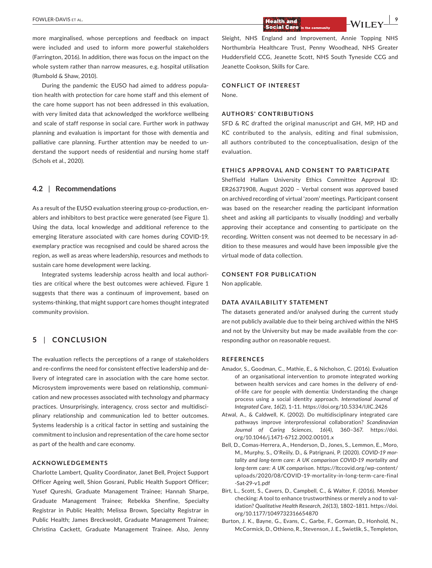more marginalised, whose perceptions and feedback on impact were included and used to inform more powerful stakeholders (Farrington, 2016). In addition, there was focus on the impact on the whole system rather than narrow measures, e.g. hospital utilisation (Rumbold & Shaw, 2010).

During the pandemic the EUSO had aimed to address population health with protection for care home staff and this element of the care home support has not been addressed in this evaluation, with very limited data that acknowledged the workforce wellbeing and scale of staff response in social care. Further work in pathway planning and evaluation is important for those with dementia and palliative care planning. Further attention may be needed to understand the support needs of residential and nursing home staff (Schols et al., 2020).

#### **4.2** | **Recommendations**

As a result of the EUSO evaluation steering group co-production, enablers and inhibitors to best practice were generated (see Figure 1). Using the data, local knowledge and additional reference to the emerging literature associated with care homes during COVID-19, exemplary practice was recognised and could be shared across the region, as well as areas where leadership, resources and methods to sustain care home development were lacking.

Integrated systems leadership across health and local authorities are critical where the best outcomes were achieved. Figure 1 suggests that there was a continuum of improvement, based on systems-thinking, that might support care homes thought integrated community provision.

# **5** | **CONCLUSION**

The evaluation reflects the perceptions of a range of stakeholders and re-confirms the need for consistent effective leadership and delivery of integrated care in association with the care home sector. Microsystem improvements were based on relationship, communication and new processes associated with technology and pharmacy practices. Unsurprisingly, interagency, cross sector and multidisciplinary relationship and communication led to better outcomes. Systems leadership is a critical factor in setting and sustaining the commitment to inclusion and representation of the care home sector as part of the health and care economy.

# **ACKNOWLEDGEMENTS**

Charlotte Lambert, Quality Coordinator, Janet Bell, Project Support Officer Ageing well, Shion Gosrani, Public Health Support Officer; Yusef Qureshi, Graduate Management Trainee; Hannah Sharpe, Graduate Management Trainee; Rebekka Shenfine, Specialty Registrar in Public Health; Melissa Brown, Specialty Registrar in Public Health; James Breckwoldt, Graduate Management Trainee; Christina Cackett, Graduate Management Trainee. Also, Jenny

**EOWLER-DAVIS** ET AL.

Sleight, NHS England and Improvement, Annie Topping NHS Northumbria Healthcare Trust, Penny Woodhead, NHS Greater Huddersfield CCG, Jeanette Scott, NHS South Tyneside CCG and Jeanette Cookson, Skills for Care.

# **CONFLICT OF INTEREST**

None.

## **AUTHORS' CONTRIBUTIONS**

SFD & RC drafted the original manuscript and GH, MP, HD and KC contributed to the analysis, editing and final submission, all authors contributed to the conceptualisation, design of the evaluation.

# **ETHICS APPROVAL AND CONSENT TO PARTICIPATE**

Sheffield Hallam University Ethics Committee Approval ID: ER26371908, August 2020 – Verbal consent was approved based on archived recording of virtual 'zoom' meetings. Participant consent was based on the researcher reading the participant information sheet and asking all participants to visually (nodding) and verbally approving their acceptance and consenting to participate on the recording. Written consent was not deemed to be necessary in addition to these measures and would have been impossible give the virtual mode of data collection.

# **CONSENT FOR PUBLICATION**

Non applicable.

#### **DATA AVAILABILITY STATEMENT**

The datasets generated and/or analysed during the current study are not publicly available due to their being archived within the NHS and not by the University but may be made available from the corresponding author on reasonable request.

#### **REFERENCES**

- Amador, S., Goodman, C., Mathie, E., & Nicholson, C. (2016). Evaluation of an organisational intervention to promote integrated working between health services and care homes in the delivery of endof-life care for people with dementia: Understanding the change process using a social identity approach. *International Journal of Integrated Care*, *16*(2), 1–11. <https://doi.org/10.5334/IJIC.2426>
- Atwal, A., & Caldwell, K. (2002). Do multidisciplinary integrated care pathways improve interprofessional collaboration? *Scandinavian Journal of Caring Sciences*, *16*(4), 360–367. [https://doi.](https://doi.org/10.1046/j.1471-6712.2002.00101.x) [org/10.1046/j.1471-6712.2002.00101.x](https://doi.org/10.1046/j.1471-6712.2002.00101.x)
- Bell, D., Comas-Herrera, A., Henderson, D., Jones, S., Lemmon, E., Moro, M., Murphy, S., O'Reiily, D., & Patrignani, P. (2020). *COVID-19 mortality and long-term care: A UK comparison COVID-19 mortality and long-term care: A UK comparison*. [https://ltccovid.org/wp-content/](https://ltccovid.org/wp-content/uploads/2020/08/COVID-19-mortality-in-long-term-care-final-Sat-29-v1.pdf) [uploads/2020/08/COVID-19-mortality-in-long-term-care-final](https://ltccovid.org/wp-content/uploads/2020/08/COVID-19-mortality-in-long-term-care-final-Sat-29-v1.pdf) [-Sat-29-v1.pdf](https://ltccovid.org/wp-content/uploads/2020/08/COVID-19-mortality-in-long-term-care-final-Sat-29-v1.pdf)
- Birt, L., Scott, S., Cavers, D., Campbell, C., & Walter, F. (2016). Member checking: A tool to enhance trustworthiness or merely a nod to validation? *Qualitative Health Research*, *26*(13), 1802–1811. [https://doi.](https://doi.org/10.1177/1049732316654870) [org/10.1177/1049732316654870](https://doi.org/10.1177/1049732316654870)
- Burton, J. K., Bayne, G., Evans, C., Garbe, F., Gorman, D., Honhold, N., McCormick, D., Othieno, R., Stevenson, J. E., Swietlik, S., Templeton,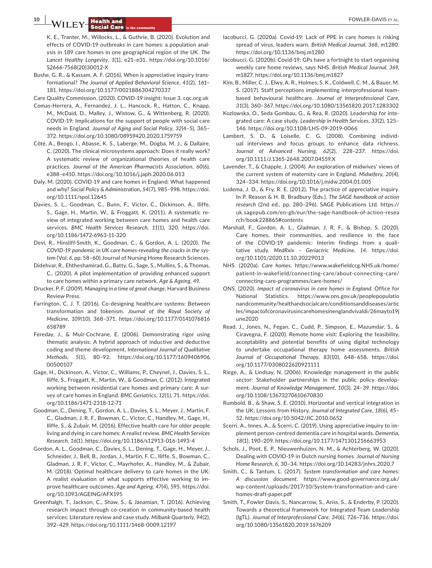**10 | <b>A/II FY Health and 10** *CONTER-DAVIS ET AL.* **Social Care** 

K. E., Tranter, M., Willocks, L., & Guthrie, B. (2020). Evolution and effects of COVID-19 outbreaks in care homes: a population analysis in 189 care homes in one geographical region of the UK. *The Lancet Healthy Longevity*, *1*(1), e21–e31. [https://doi.org/10.1016/](https://doi.org/10.1016/S2666-7568(20)30012-X) [S2666-7568\(20\)30012-X](https://doi.org/10.1016/S2666-7568(20)30012-X)

Bushe, G. R., & Kassam, A. F. (2016). When is appreciative inquiry transformational? *The Journal of Applied Behavioral Science*, *41*(2), 161– 181.<https://doi.org/10.1177/0021886304270337>

Care Quality Commission. (2020). COVID-19 insight: Issue 3. [cqc.org.uk](https://cqc.org.uk)

- Comas-Herrera, A., Fernandez, J. L., Hancock, R., Hatton, C., Knapp, M., McDaid, D., Malley, J., Wistow, G., & Wittenberg, R. (2020). COVID-19: Implications for the support of people with social care needs in England. *Journal of Aging and Social Policy*, *32*(4–5), 365– 372.<https://doi.org/10.1080/08959420.2020.1759759>
- Côté, A., Beogo, I., Abasse, K. S., Laberge, M., Dogba, M. J., & Dallaire, C. (2020). The clinical microsystems approach: Does it really work? A systematic review of organizational theories of health care practices. *Journal of the American Pharmacists Association*, *60*(6), e388–e410. <https://doi.org/10.1016/j.japh.2020.06.013>
- Daly, M. (2020). COVID-19 and care homes in England: What happened and why? *Social Policy & Administration*, *54*(7), 985–998. [https://doi.](https://doi.org/10.1111/spol.12645) [org/10.1111/spol.12645](https://doi.org/10.1111/spol.12645)
- Davies, S. L., Goodman, C., Bunn, F., Victor, C., Dickinson, A., Iliffe, S., Gage, H., Martin, W., & Froggatt, K. (2011). A systematic review of integrated working between care homes and health care services. *BMC Health Services Research*, *11*(1), 320. [https://doi.](https://doi.org/10.1186/1472-6963-11-320) [org/10.1186/1472-6963-11-320](https://doi.org/10.1186/1472-6963-11-320)
- Devi, R., Hinsliff-Smith, K., Goodman, C., & Gordon, A. L. (2020). *The COVID-19 pandemic in UK care homes-revealing the cracks in the system* (Vol. *6*, pp. 58–60).Journal of Nursing Home Research Sciences.
- Didehvar, R., Ehtheshamirad, G., Batty, G., Sage, S., Mullins, S., & Thomas, C.. (2020). A pilot implementation of providing enhanced support to care homes within a primary care network. *Age & Ageing*, *49*.
- Drucker, P. F. (2009). *Managing in a time of great change*. Harvard Business Review Press.
- Farrington, C. J. T. (2016). Co-designing healthcare systems: Between transformation and tokenism. *Journal of the Royal Society of Medicine*, *109*(10), 368–371. [https://doi.org/10.1177/0141076816](https://doi.org/10.1177/0141076816658789) [658789](https://doi.org/10.1177/0141076816658789)
- Fereday, J., & Muir-Cochrane, E. (2006). Demonstrating rigor using thematic analysis: A hybrid approach of inductive and deductive coding and theme development. *International Journal of Qualitative Methods*, *5*(1), 80–92. [https://doi.org/10.1177/1609406906](https://doi.org/10.1177/160940690600500107) [00500107](https://doi.org/10.1177/160940690600500107)
- Gage, H., Dickinson, A., Victor, C., Williams, P., Cheynel, J., Davies, S. L., Iliffe, S., Froggatt, K., Martin, W., & Goodman, C. (2012). Integrated working between residential care homes and primary care: A survey of care homes in England. *BMC Geriatrics*, *12*(1), 71. [https://doi.](https://doi.org/10.1186/1471-2318-12-71) [org/10.1186/1471-2318-12-71](https://doi.org/10.1186/1471-2318-12-71)
- Goodman, C., Dening, T., Gordon, A. L., Davies, S. L., Meyer, J., Martin, F. C., Gladman, J. R. F., Bowman, C., Victor, C., Handley, M., Gage, H., Iliffe, S., & Zubair, M. (2016). Effective health care for older people living and dying in care homes: A realist review. *BMC Health Services Research*, *16*(1).<https://doi.org/10.1186/s12913-016-1493-4>
- Gordon, A. L., Goodman, C., Davies, S. L., Dening, T., Gage, H., Meyer, J., Schneider, J., Bell, B., Jordan, J., Martin, F. C., Iliffe, S., Bowman, C., Gladman, J. R. F., Victor, C., Mayrhofer, A., Handley, M., & Zubair, M. (2018). Optimal healthcare delivery to care homes in the UK: A realist evaluation of what supports effective working to improve healthcare outcomes. *Age and Ageing*, *47*(4), 595. [https://doi.](https://doi.org/10.1093/AGEING/AFX195) [org/10.1093/AGEING/AFX195](https://doi.org/10.1093/AGEING/AFX195)
- Greenhalgh, T., Jackson, C., Shaw, S., & Janamian, T. (2016). Achieving research impact through co-creation in community-based health services: Literature review and case study. *Milbank Quarterly*, *94*(2), 392–429.<https://doi.org/10.1111/1468-0009.12197>
- Iacobucci, G. (2020a). Covid-19: Lack of PPE in care homes is risking spread of virus, leaders warn. *British Medical Journal*, *368*, m1280. <https://doi.org/10.1136/bmj.m1280>
- Iacobucci, G. (2020b). Covid-19: GPs have a fortnight to start organising weekly care home reviews, says NHS. *British Medical Journal*, *369*, m1827. <https://doi.org/10.1136/bmj.m1827>
- Kim, B., Miller, C. J., Elwy, A. R., Holmes, S. K., Coldwell, C. M., & Bauer, M. S. (2017). Staff perceptions implementing interprofessional teambased behavioural healthcare. *Journal of Interprofessional Care*, *31*(3), 360–367. <https://doi.org/10.1080/13561820.2017.1283302>
- Kozlowska, O., Seda Gombau, G., & Rea, R. (2020). Leadership for integrated care: A case study. *Leadership in Health Services*, *33*(2), 125– 146.<https://doi.org/10.1108/LHS-09-2019-0066>
- Lambert, S. D., & Loiselle, C. G. (2008). Combining individual interviews and focus groups to enhance data richness. *Journal of Advanced Nursing*, *62*(2), 228–237. [https://doi.](https://doi.org/10.1111/J.1365-2648.2007.04559.X) [org/10.1111/J.1365-2648.2007.04559.X](https://doi.org/10.1111/J.1365-2648.2007.04559.X)
- Lavender, T., & Chapple, J. (2004). An exploration of midwives' views of the current system of maternity care in England. *Midwifery*, *20*(4), 324–334. <https://doi.org/10.1016/j.midw.2004.01.005>
- Ludema, J. D., & Fry, R. E. (2012). The practice of appreciative inquiry. In P. Reason & H. B. Bradbury (Eds.), *The SAGE handbook of action research* (2nd ed., pp. 280–296). SAGE Publications Ltd. [https://](https://uk.sagepub.com/en-gb/eur/the-sage-handbook-of-action-research/book228865#contents) [uk.sagepub.com/en-gb/eur/the-sage-handbook-of-action-resea](https://uk.sagepub.com/en-gb/eur/the-sage-handbook-of-action-research/book228865#contents) [rch/book228865#contents](https://uk.sagepub.com/en-gb/eur/the-sage-handbook-of-action-research/book228865#contents)
- Marshall, F., Gordon, A. L., Gladman, J. R. F., & Bishop, S. (2020). Care homes, their communities, and resilience in the face of the COVID-19 pandemic: Interim findings from a qualitative study. *MedRxiv – Geriactric Medicine*, *14*. [https://doi.](https://doi.org/10.1101/2020.11.10.20229013) [org/10.1101/2020.11.10.20229013](https://doi.org/10.1101/2020.11.10.20229013)
- NHS. (2020a). *Care homes*. [https://www.wakefieldccg.NHS.uk/home/](https://www.wakefieldccg.NHS.uk/home/patient-in-wakefield/connecting-care/about-connecting-care/connecting-care-programmes/care-homes/) [patient-in-wakefield/connecting-care/about-connecting-care/](https://www.wakefieldccg.NHS.uk/home/patient-in-wakefield/connecting-care/about-connecting-care/connecting-care-programmes/care-homes/) [connecting-care-programmes/care-homes/](https://www.wakefieldccg.NHS.uk/home/patient-in-wakefield/connecting-care/about-connecting-care/connecting-care-programmes/care-homes/)
- ONS. (2020). *Impact of coronavirus in care homes in England*. Office for National Statistics. [https://www.ons.gov.uk/peoplepopulatio](https://www.ons.gov.uk/peoplepopulationandcommunity/healthandsocialcare/conditionsanddiseases/articles/impactofcoronavirusincarehomesinenglandvivaldi/26mayto19june2020) [nandcommunity/healthandsocialcare/conditionsanddiseases/artic](https://www.ons.gov.uk/peoplepopulationandcommunity/healthandsocialcare/conditionsanddiseases/articles/impactofcoronavirusincarehomesinenglandvivaldi/26mayto19june2020) [les/impactofcoronavirusincarehomesinenglandvivaldi/26mayto19j](https://www.ons.gov.uk/peoplepopulationandcommunity/healthandsocialcare/conditionsanddiseases/articles/impactofcoronavirusincarehomesinenglandvivaldi/26mayto19june2020) [une2020](https://www.ons.gov.uk/peoplepopulationandcommunity/healthandsocialcare/conditionsanddiseases/articles/impactofcoronavirusincarehomesinenglandvivaldi/26mayto19june2020)
- Read, J., Jones, N., Fegan, C., Cudd, P., Simpson, E., Mazumdar, S., & Ciravegna, F. (2020). Remote home visit: Exploring the feasibility, acceptability and potential benefits of using digital technology to undertake occupational therapy home assessments. *British Journal of Occupational Therapy*, *83*(10), 648–658. [https://doi.](https://doi.org/10.1177/0308022620921111) [org/10.1177/0308022620921111](https://doi.org/10.1177/0308022620921111)
- Riege, A., & Lindsay, N. (2006). Knowledge management in the public sector: Stakeholder partnerships in the public policy development. *Journal of Knowledge Management*, *10*(3), 24–39. [https://doi.](https://doi.org/10.1108/13673270610670830) [org/10.1108/13673270610670830](https://doi.org/10.1108/13673270610670830)
- Rumbold, B., & Shaw, S. E. (2010). Horizontal and vertical integration in the UK: Lessons from History. *Journal of Integrated Care*, *18*(6), 45– 52.<https://doi.org/10.5042/JIC.2010.0652>
- Scerri, A., Innes, A., & Scerri, C. (2019). Using appreciative inquiry to implement person-centred dementia care in hospital wards. *Dementia*, *18*(1), 190–209. <https://doi.org/10.1177/1471301216663953>
- Schols, J., Poot, E. P., Nieuwenhuizen, N. M., & Achterberg, W. (2020). Dealing with COVID-19 in Dutch nursing homes. *Journal of Nursing Home Research*, *6*, 30–34.<https://doi.org/10.14283/jnhrs.2020.7>
- Smith, C., & Tantum, L. (2017). *System transformation and care homes: A discussion document*. [https://www.good-governance.org.uk/](https://www.good-governance.org.uk/wp-content/uploads/2017/10/System-transformation-and-care-homes-draft-paper.pdf) [wp-content/uploads/2017/10/System-transformation-and-care](https://www.good-governance.org.uk/wp-content/uploads/2017/10/System-transformation-and-care-homes-draft-paper.pdf)[homes-draft-paper.pdf](https://www.good-governance.org.uk/wp-content/uploads/2017/10/System-transformation-and-care-homes-draft-paper.pdf)
- Smith, T., Fowler Davis, S., Nancarrow, S., Ariss, S., & Enderby, P. (2020). Towards a theoretical framework for Integrated Team Leadership (IgTL). *Journal of Interprofessional Care*, *34*(6), 726–736. [https://doi.](https://doi.org/10.1080/13561820.2019.1676209) [org/10.1080/13561820.2019.1676209](https://doi.org/10.1080/13561820.2019.1676209)